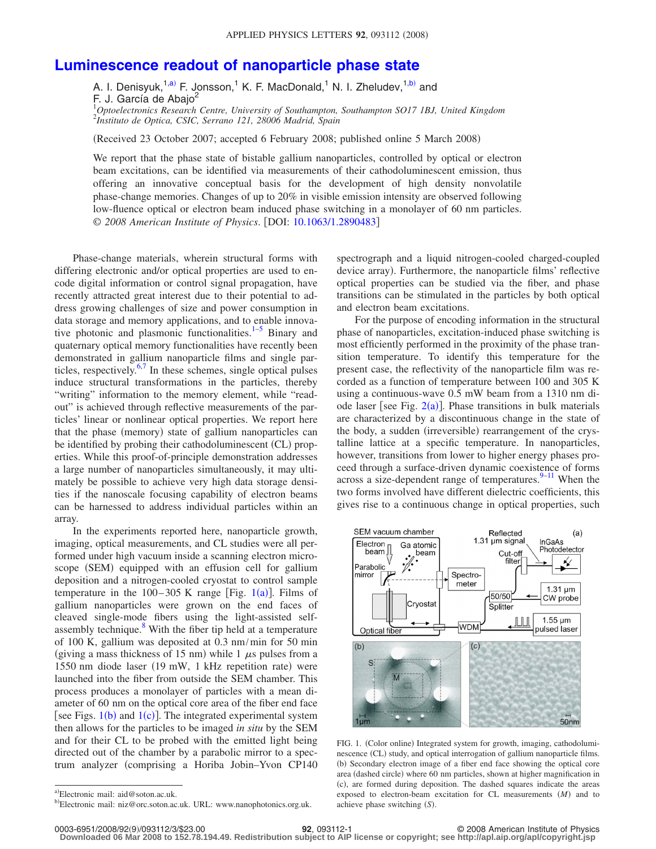## **[Luminescence readout of nanoparticle phase state](http://dx.doi.org/10.1063/1.2890483)**

A. I. Denisyuk,<sup>1[,a](#page-0-0))</sup> F. Jonsson,<sup>1</sup> K. F. MacDonald,<sup>1</sup> N. I. Zheludev,<sup>1[,b](#page-0-1))</sup> and

F. J. García de Abajo<sup>2</sup>

1 *Optoelectronics Research Centre, University of Southampton, Southampton SO17 1BJ, United Kingdom* 2 *Instituto de Optica, CSIC, Serrano 121, 28006 Madrid, Spain*

Received 23 October 2007; accepted 6 February 2008; published online 5 March 2008-

We report that the phase state of bistable gallium nanoparticles, controlled by optical or electron beam excitations, can be identified via measurements of their cathodoluminescent emission, thus offering an innovative conceptual basis for the development of high density nonvolatile phase-change memories. Changes of up to 20% in visible emission intensity are observed following low-fluence optical or electron beam induced phase switching in a monolayer of 60 nm particles. © *2008 American Institute of Physics*. DOI: [10.1063/1.2890483](http://dx.doi.org/10.1063/1.2890483)

Phase-change materials, wherein structural forms with differing electronic and/or optical properties are used to encode digital information or control signal propagation, have recently attracted great interest due to their potential to address growing challenges of size and power consumption in data storage and memory applications, and to enable innovative photonic and plasmonic functionalities. $1-5$  Binary and quaternary optical memory functionalities have recently been demonstrated in gallium nanoparticle films and single par-ticles, respectively.<sup>6[,7](#page-2-3)</sup> In these schemes, single optical pulses induce structural transformations in the particles, thereby "writing" information to the memory element, while "readout" is achieved through reflective measurements of the particles' linear or nonlinear optical properties. We report here that the phase (memory) state of gallium nanoparticles can be identified by probing their cathodoluminescent (CL) properties. While this proof-of-principle demonstration addresses a large number of nanoparticles simultaneously, it may ultimately be possible to achieve very high data storage densities if the nanoscale focusing capability of electron beams can be harnessed to address individual particles within an array.

In the experiments reported here, nanoparticle growth, imaging, optical measurements, and CL studies were all performed under high vacuum inside a scanning electron microscope (SEM) equipped with an effusion cell for gallium deposition and a nitrogen-cooled cryostat to control sample temperature in the  $100-305$  $100-305$  K range [Fig.  $1(a)$ ]. Films of gallium nanoparticles were grown on the end faces of cleaved single-mode fibers using the light-assisted selfassembly technique.<sup>8</sup> With the fiber tip held at a temperature of 100 K, gallium was deposited at 0.3 nm/min for 50 min (giving a mass thickness of 15 nm) while 1  $\mu$ s pulses from a 1550 nm diode laser (19 mW, 1 kHz repetition rate) were launched into the fiber from outside the SEM chamber. This process produces a monolayer of particles with a mean diameter of 60 nm on the optical core area of the fiber end face [see Figs.  $1(b)$  $1(b)$  and  $1(c)$ ]. The integrated experimental system then allows for the particles to be imaged *in situ* by the SEM and for their CL to be probed with the emitted light being directed out of the chamber by a parabolic mirror to a spectrum analyzer (comprising a Horiba Jobin–Yvon CP140 spectrograph and a liquid nitrogen-cooled charged-coupled device array). Furthermore, the nanoparticle films' reflective optical properties can be studied via the fiber, and phase transitions can be stimulated in the particles by both optical and electron beam excitations.

For the purpose of encoding information in the structural phase of nanoparticles, excitation-induced phase switching is most efficiently performed in the proximity of the phase transition temperature. To identify this temperature for the present case, the reflectivity of the nanoparticle film was recorded as a function of temperature between 100 and 305 K using a continuous-wave 0.5 mW beam from a 1310 nm diode laser [see Fig.  $2(a)$  $2(a)$ ]. Phase transitions in bulk materials are characterized by a discontinuous change in the state of the body, a sudden (irreversible) rearrangement of the crystalline lattice at a specific temperature. In nanoparticles, however, transitions from lower to higher energy phases proceed through a surface-driven dynamic coexistence of forms across a size-dependent range of temperatures. $9-11$  $9-11$  When the two forms involved have different dielectric coefficients, this gives rise to a continuous change in optical properties, such

<span id="page-0-2"></span>

FIG. 1. (Color online) Integrated system for growth, imaging, cathodoluminescence (CL) study, and optical interrogation of gallium nanoparticle films. (b) Secondary electron image of a fiber end face showing the optical core area (dashed circle) where 60 nm particles, shown at higher magnification in (c), are formed during deposition. The dashed squares indicate the areas exposed to electron-beam excitation for CL measurements (M) and to achieve phase switching (S).

**Downloaded 06 Mar 2008 to 152.78.194.49. Redistribution subject to AIP license or copyright; see http://apl.aip.org/apl/copyright.jsp**

<span id="page-0-1"></span><span id="page-0-0"></span>a)Electronic mail: aid@soton.ac.uk.

b)Electronic mail: niz@orc.soton.ac.uk. URL: www.nanophotonics.org.uk.

<sup>92, 093112-1</sup> **92, 093112-1** © 2008 American Institute of Physics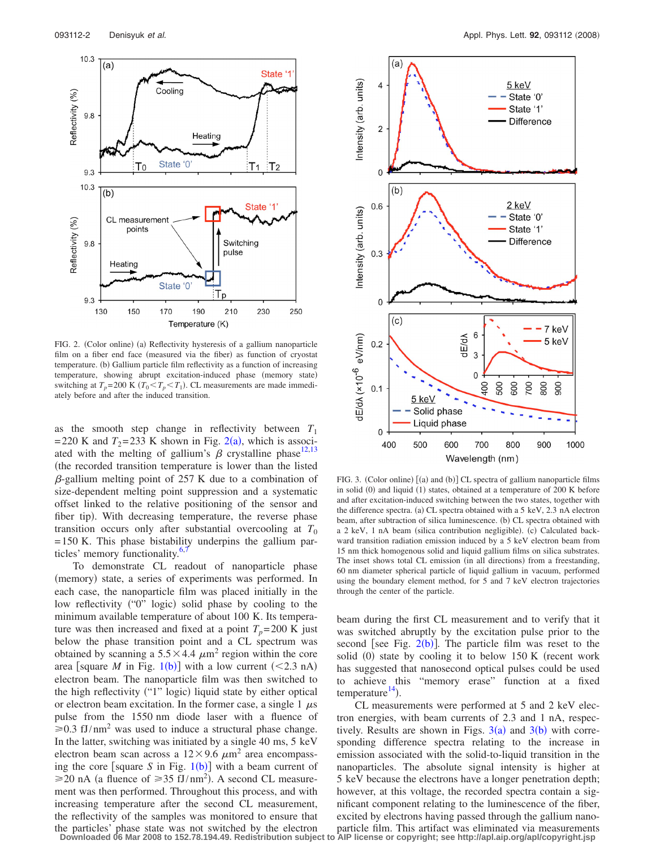<span id="page-1-0"></span>

FIG. 2. (Color online) (a) Reflectivity hysteresis of a gallium nanoparticle film on a fiber end face (measured via the fiber) as function of cryostat temperature. (b) Gallium particle film reflectivity as a function of increasing temperature, showing abrupt excitation-induced phase (memory state) switching at  $T_p = 200 \text{ K } (T_0 \le T_p \le T_1)$ . CL measurements are made immediately before and after the induced transition.

as the smooth step change in reflectivity between  $T_1$ = [2](#page-1-0)20 K and  $T_2$ = 233 K shown in Fig. 2(a), which is associated with the melting of gallium's  $\beta$  crystalline phase<sup>12,[13](#page-2-8)</sup> the recorded transition temperature is lower than the listed  $\beta$ -gallium melting point of 257 K due to a combination of size-dependent melting point suppression and a systematic offset linked to the relative positioning of the sensor and fiber tip). With decreasing temperature, the reverse phase transition occurs only after substantial overcooling at  $T_0$ = 150 K. This phase bistability underpins the gallium particles' memory functionality.<sup>6,</sup>

To demonstrate CL readout of nanoparticle phase (memory) state, a series of experiments was performed. In each case, the nanoparticle film was placed initially in the low reflectivity ("0" logic) solid phase by cooling to the minimum available temperature of about 100 K. Its temperature was then increased and fixed at a point  $T_p = 200$  K just below the phase transition point and a CL spectrum was obtained by scanning a  $5.5 \times 4.4 \ \mu m^2$  region within the core area [square *M* in Fig. [1](#page-0-2)(b)] with a low current  $(<2.3 \text{ nA})$ electron beam. The nanoparticle film was then switched to the high reflectivity ("1" logic) liquid state by either optical or electron beam excitation. In the former case, a single  $1 \mu s$ pulse from the 1550 nm diode laser with a fluence of  $\geq 0.3$  fJ/nm<sup>2</sup> was used to induce a structural phase change. In the latter, switching was initiated by a single 40 ms, 5 keV electron beam scan across a  $12 \times 9.6 \ \mu m^2$  area encompassing the core [square *S* in Fig.  $1(b)$  $1(b)$ ] with a beam current of  $\geq$ 20 nA (a fluence of  $\geq$ 35 fJ/nm<sup>2</sup>). A second CL measurement was then performed. Throughout this process, and with increasing temperature after the second CL measurement, the reflectivity of the samples was monitored to ensure that the particles' phase state was not switched by the electron

<span id="page-1-1"></span>

FIG. 3. (Color online) [(a) and (b)] CL spectra of gallium nanoparticle films in solid (0) and liquid (1) states, obtained at a temperature of 200 K before and after excitation-induced switching between the two states, together with the difference spectra. (a) CL spectra obtained with a 5 keV, 2.3 nA electron beam, after subtraction of silica luminescence. (b) CL spectra obtained with a 2 keV, 1 nA beam (silica contribution negligible). (c) Calculated backward transition radiation emission induced by a 5 keV electron beam from 15 nm thick homogenous solid and liquid gallium films on silica substrates. The inset shows total CL emission (in all directions) from a freestanding, 60 nm diameter spherical particle of liquid gallium in vacuum, performed using the boundary element method, for 5 and 7 keV electron trajectories through the center of the particle.

beam during the first CL measurement and to verify that it was switched abruptly by the excitation pulse prior to the second [see Fig.  $2(b)$  $2(b)$ ]. The particle film was reset to the solid (0) state by cooling it to below 150 K (recent work has suggested that nanosecond optical pulses could be used to achieve this "memory erase" function at a fixed temperature<sup>14</sup>).

CL measurements were performed at 5 and 2 keV electron energies, with beam currents of 2.3 and 1 nA, respectively. Results are shown in Figs.  $3(a)$  $3(a)$  and  $3(b)$  with corresponding difference spectra relating to the increase in emission associated with the solid-to-liquid transition in the nanoparticles. The absolute signal intensity is higher at 5 keV because the electrons have a longer penetration depth; however, at this voltage, the recorded spectra contain a significant component relating to the luminescence of the fiber, excited by electrons having passed through the gallium nanoparticle film. This artifact was eliminated via measurements

**Downloaded 06 Mar 2008 to 152.78.194.49. Redistribution subject to AIP license or copyright; see http://apl.aip.org/apl/copyright.jsp**